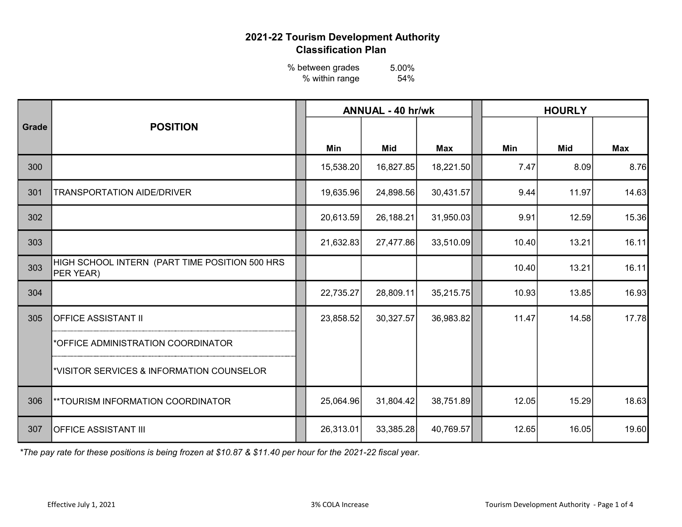5.00% 54% % between grades % within range

|       |                                                             | <b>ANNUAL - 40 hr/wk</b> |           |            |           |  | <b>HOURLY</b> |            |            |  |  |
|-------|-------------------------------------------------------------|--------------------------|-----------|------------|-----------|--|---------------|------------|------------|--|--|
| Grade | <b>POSITION</b>                                             |                          |           |            |           |  |               |            |            |  |  |
|       |                                                             |                          | Min       | <b>Mid</b> | Max       |  | Min           | <b>Mid</b> | <b>Max</b> |  |  |
| 300   |                                                             |                          | 15,538.20 | 16,827.85  | 18,221.50 |  | 7.47          | 8.09       | 8.76       |  |  |
| 301   | <b>TRANSPORTATION AIDE/DRIVER</b>                           |                          | 19,635.96 | 24,898.56  | 30,431.57 |  | 9.44          | 11.97      | 14.63      |  |  |
| 302   |                                                             |                          | 20,613.59 | 26,188.21  | 31,950.03 |  | 9.91          | 12.59      | 15.36      |  |  |
| 303   |                                                             |                          | 21,632.83 | 27,477.86  | 33,510.09 |  | 10.40         | 13.21      | 16.11      |  |  |
| 303   | HIGH SCHOOL INTERN (PART TIME POSITION 500 HRS<br>PER YEAR) |                          |           |            |           |  | 10.40         | 13.21      | 16.11      |  |  |
| 304   |                                                             |                          | 22,735.27 | 28,809.11  | 35,215.75 |  | 10.93         | 13.85      | 16.93      |  |  |
| 305   | OFFICE ASSISTANT II                                         |                          | 23,858.52 | 30,327.57  | 36,983.82 |  | 11.47         | 14.58      | 17.78      |  |  |
|       | *OFFICE ADMINISTRATION COORDINATOR                          |                          |           |            |           |  |               |            |            |  |  |
|       | *VISITOR SERVICES & INFORMATION COUNSELOR                   |                          |           |            |           |  |               |            |            |  |  |
| 306   | ** TOURISM INFORMATION COORDINATOR                          |                          | 25,064.96 | 31,804.42  | 38,751.89 |  | 12.05         | 15.29      | 18.63      |  |  |
| 307   | <b>OFFICE ASSISTANT III</b>                                 |                          | 26,313.01 | 33,385.28  | 40,769.57 |  | 12.65         | 16.05      | 19.60      |  |  |

\*The pay rate for these positions is being frozen at \$10.87 & \$11.40 per hour for the 2021-22 fiscal year.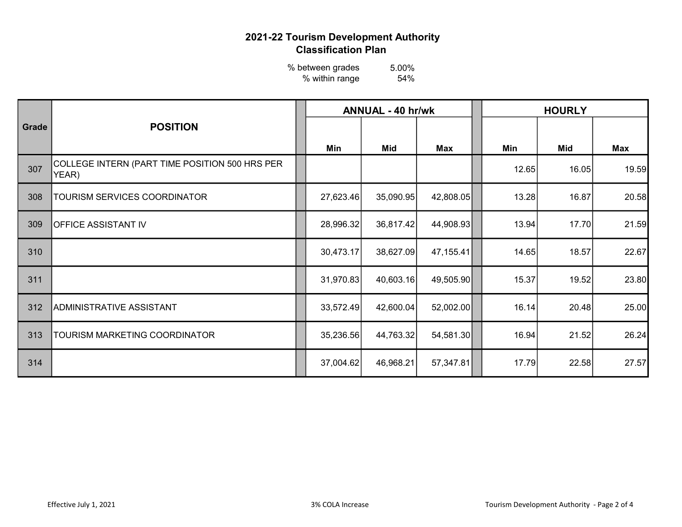5.00% 54% % between grades % within range

|       | <b>POSITION</b>                                         |           | <b>ANNUAL - 40 hr/wk</b> |           | <b>HOURLY</b> |       |       |  |
|-------|---------------------------------------------------------|-----------|--------------------------|-----------|---------------|-------|-------|--|
| Grade |                                                         | Min       | Mid                      | Max       | Min           | Mid   | Max   |  |
| 307   | COLLEGE INTERN (PART TIME POSITION 500 HRS PER<br>YEAR) |           |                          |           | 12.65         | 16.05 | 19.59 |  |
| 308   | <b>TOURISM SERVICES COORDINATOR</b>                     | 27,623.46 | 35,090.95                | 42,808.05 | 13.28         | 16.87 | 20.58 |  |
| 309   | <b>OFFICE ASSISTANT IV</b>                              | 28,996.32 | 36,817.42                | 44,908.93 | 13.94         | 17.70 | 21.59 |  |
| 310   |                                                         | 30,473.17 | 38,627.09                | 47,155.41 | 14.65         | 18.57 | 22.67 |  |
| 311   |                                                         | 31,970.83 | 40,603.16                | 49,505.90 | 15.37         | 19.52 | 23.80 |  |
| 312   | ADMINISTRATIVE ASSISTANT                                | 33,572.49 | 42,600.04                | 52,002.00 | 16.14         | 20.48 | 25.00 |  |
| 313   | TOURISM MARKETING COORDINATOR                           | 35,236.56 | 44,763.32                | 54,581.30 | 16.94         | 21.52 | 26.24 |  |
| 314   |                                                         | 37,004.62 | 46,968.21                | 57,347.81 | 17.79         | 22.58 | 27.57 |  |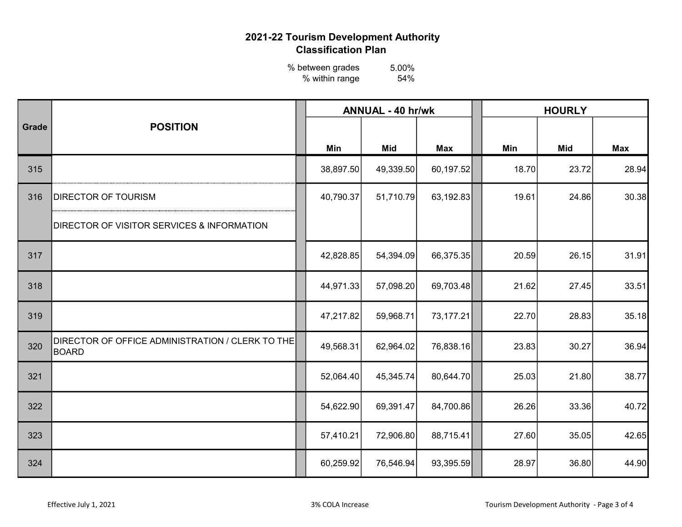5.00% 54% % between grades % within range

|       |                                                           |           | <b>ANNUAL - 40 hr/wk</b> |            | <b>HOURLY</b> |       |            |  |  |
|-------|-----------------------------------------------------------|-----------|--------------------------|------------|---------------|-------|------------|--|--|
| Grade | <b>POSITION</b>                                           |           |                          |            |               |       |            |  |  |
|       |                                                           | Min       | <b>Mid</b>               | <b>Max</b> | Min           | Mid   | <b>Max</b> |  |  |
| 315   |                                                           | 38,897.50 | 49,339.50                | 60,197.52  | 18.70         | 23.72 | 28.94      |  |  |
| 316   | <b>DIRECTOR OF TOURISM</b>                                | 40,790.37 | 51,710.79                | 63,192.83  | 19.61         | 24.86 | 30.38      |  |  |
|       | <b>DIRECTOR OF VISITOR SERVICES &amp; INFORMATION</b>     |           |                          |            |               |       |            |  |  |
| 317   |                                                           | 42,828.85 | 54,394.09                | 66,375.35  | 20.59         | 26.15 | 31.91      |  |  |
| 318   |                                                           | 44,971.33 | 57,098.20                | 69,703.48  | 21.62         | 27.45 | 33.51      |  |  |
| 319   |                                                           | 47,217.82 | 59,968.71                | 73,177.21  | 22.70         | 28.83 | 35.18      |  |  |
| 320   | DIRECTOR OF OFFICE ADMINISTRATION / CLERK TO THE<br>BOARD | 49,568.31 | 62,964.02                | 76,838.16  | 23.83         | 30.27 | 36.94      |  |  |
| 321   |                                                           | 52,064.40 | 45,345.74                | 80,644.70  | 25.03         | 21.80 | 38.77      |  |  |
| 322   |                                                           | 54,622.90 | 69,391.47                | 84,700.86  | 26.26         | 33.36 | 40.72      |  |  |
| 323   |                                                           | 57,410.21 | 72,906.80                | 88,715.41  | 27.60         | 35.05 | 42.65      |  |  |
| 324   |                                                           | 60,259.92 | 76,546.94                | 93,395.59  | 28.97         | 36.80 | 44.90      |  |  |